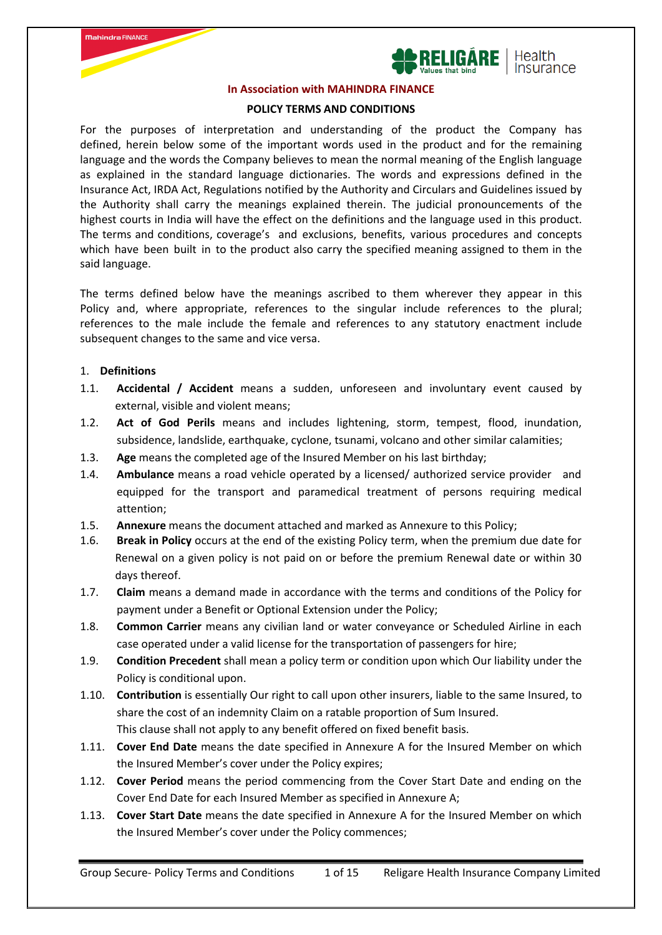



#### **In Association with MAHINDRA FINANCE**

#### **POLICY TERMS AND CONDITIONS**

For the purposes of interpretation and understanding of the product the Company has defined, herein below some of the important words used in the product and for the remaining language and the words the Company believes to mean the normal meaning of the English language as explained in the standard language dictionaries. The words and expressions defined in the Insurance Act, IRDA Act, Regulations notified by the Authority and Circulars and Guidelines issued by the Authority shall carry the meanings explained therein. The judicial pronouncements of the highest courts in India will have the effect on the definitions and the language used in this product. The terms and conditions, coverage's and exclusions, benefits, various procedures and concepts which have been built in to the product also carry the specified meaning assigned to them in the said language.

The terms defined below have the meanings ascribed to them wherever they appear in this Policy and, where appropriate, references to the singular include references to the plural; references to the male include the female and references to any statutory enactment include subsequent changes to the same and vice versa.

#### 1. **Definitions**

- 1.1. **Accidental / Accident** means a sudden, unforeseen and involuntary event caused by external, visible and violent means;
- 1.2. **Act of God Perils** means and includes lightening, storm, tempest, flood, inundation, subsidence, landslide, earthquake, cyclone, tsunami, volcano and other similar calamities;
- 1.3. **Age** means the completed age of the Insured Member on his last birthday;
- 1.4. **Ambulance** means a road vehicle operated by a licensed/ authorized service provider and equipped for the transport and paramedical treatment of persons requiring medical attention;
- 1.5. **Annexure** means the document attached and marked as Annexure to this Policy;
- 1.6. **Break in Policy** occurs at the end of the existing Policy term, when the premium due date for Renewal on a given policy is not paid on or before the premium Renewal date or within 30 days thereof.
- 1.7. **Claim** means a demand made in accordance with the terms and conditions of the Policy for payment under a Benefit or Optional Extension under the Policy;
- 1.8. **Common Carrier** means any civilian land or water conveyance or Scheduled Airline in each case operated under a valid license for the transportation of passengers for hire;
- 1.9. **Condition Precedent** shall mean a policy term or condition upon which Our liability under the Policy is conditional upon.
- 1.10. **Contribution** is essentially Our right to call upon other insurers, liable to the same Insured, to share the cost of an indemnity Claim on a ratable proportion of Sum Insured. This clause shall not apply to any benefit offered on fixed benefit basis.
- 1.11. **Cover End Date** means the date specified in Annexure A for the Insured Member on which the Insured Member's cover under the Policy expires;
- 1.12. **Cover Period** means the period commencing from the Cover Start Date and ending on the Cover End Date for each Insured Member as specified in Annexure A;
- 1.13. **Cover Start Date** means the date specified in Annexure A for the Insured Member on which the Insured Member's cover under the Policy commences;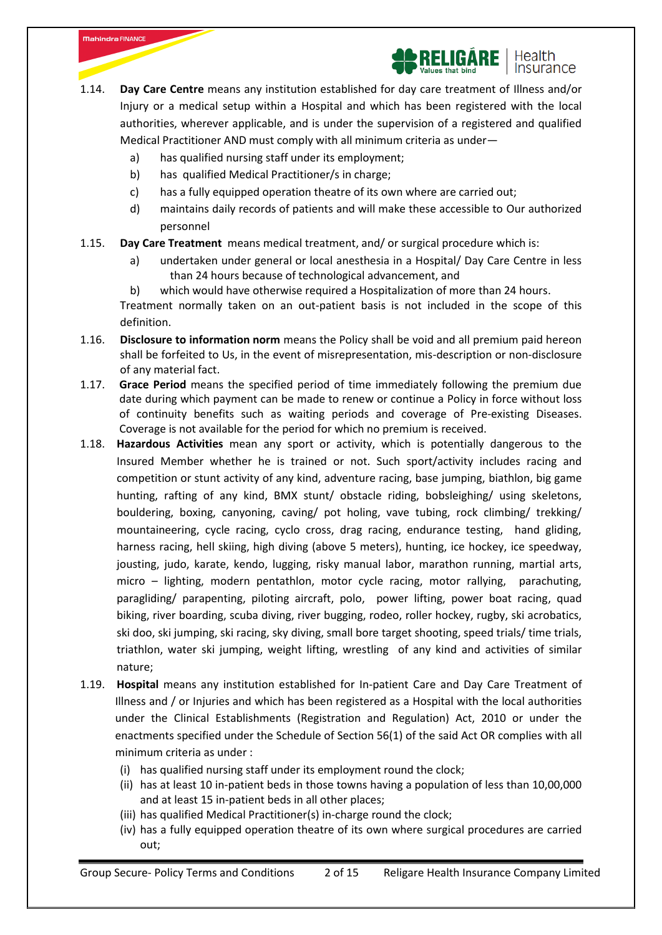

- a) has qualified nursing staff under its employment;
- b) has qualified Medical Practitioner/s in charge;

- c) has a fully equipped operation theatre of its own where are carried out;
- d) maintains daily records of patients and will make these accessible to Our authorized personnel
- 1.15. **Day Care Treatment** means medical treatment, and/ or surgical procedure which is:
	- a) undertaken under general or local anesthesia in a Hospital/ Day Care Centre in less than 24 hours because of technological advancement, and

b) which would have otherwise required a Hospitalization of more than 24 hours. Treatment normally taken on an out-patient basis is not included in the scope of this definition.

- 1.16. **Disclosure to information norm** means the Policy shall be void and all premium paid hereon shall be forfeited to Us, in the event of misrepresentation, mis-description or non-disclosure of any material fact.
- 1.17. **Grace Period** means the specified period of time immediately following the premium due date during which payment can be made to renew or continue a Policy in force without loss of continuity benefits such as waiting periods and coverage of Pre-existing Diseases. Coverage is not available for the period for which no premium is received.
- 1.18. **Hazardous Activities** mean any sport or activity, which is potentially dangerous to the Insured Member whether he is trained or not. Such sport/activity includes racing and competition or stunt activity of any kind, adventure racing, base jumping, biathlon, big game hunting, rafting of any kind, BMX stunt/ obstacle riding, bobsleighing/ using skeletons, bouldering, boxing, canyoning, caving/ pot holing, vave tubing, rock climbing/ trekking/ mountaineering, cycle racing, cyclo cross, drag racing, endurance testing, hand gliding, harness racing, hell skiing, high diving (above 5 meters), hunting, ice hockey, ice speedway, jousting, judo, karate, kendo, lugging, risky manual labor, marathon running, martial arts, micro – lighting, modern pentathlon, motor cycle racing, motor rallying, parachuting, paragliding/ parapenting, piloting aircraft, polo, power lifting, power boat racing, quad biking, river boarding, scuba diving, river bugging, rodeo, roller hockey, rugby, ski acrobatics, ski doo, ski jumping, ski racing, sky diving, small bore target shooting, speed trials/ time trials, triathlon, water ski jumping, weight lifting, wrestling of any kind and activities of similar nature;
- 1.19. **Hospital** means any institution established for In-patient Care and Day Care Treatment of Illness and / or Injuries and which has been registered as a Hospital with the local authorities under the Clinical Establishments (Registration and Regulation) Act, 2010 or under the enactments specified under the Schedule of Section 56(1) of the said Act OR complies with all minimum criteria as under :
	- (i) has qualified nursing staff under its employment round the clock;
	- (ii) has at least 10 in-patient beds in those towns having a population of less than 10,00,000 and at least 15 in-patient beds in all other places;
	- (iii) has qualified Medical Practitioner(s) in-charge round the clock;
	- (iv) has a fully equipped operation theatre of its own where surgical procedures are carried out;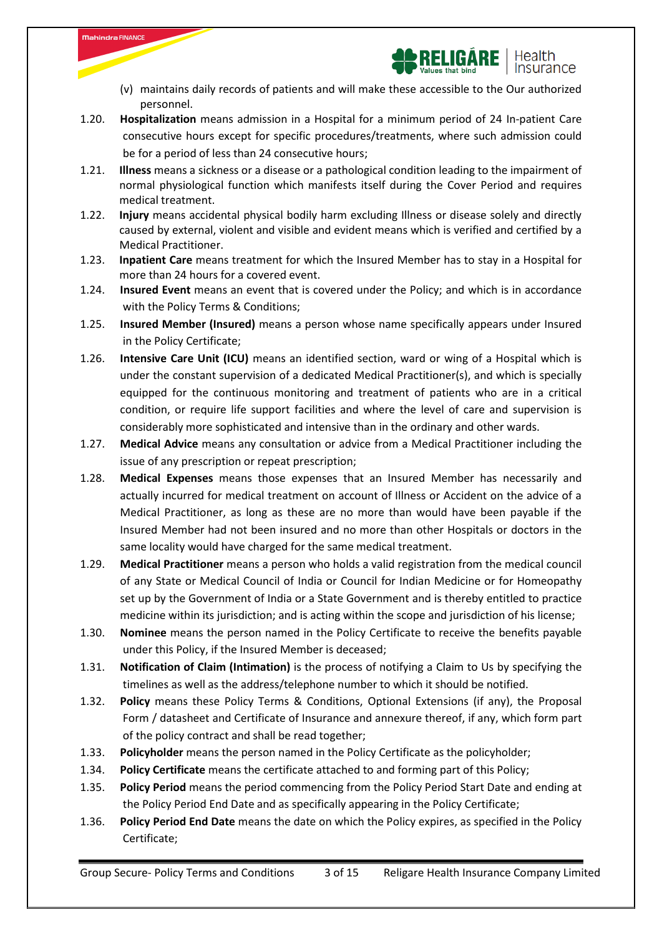

- (v) maintains daily records of patients and will make these accessible to the Our authorized personnel.
- 1.20. **Hospitalization** means admission in a Hospital for a minimum period of 24 In-patient Care consecutive hours except for specific procedures/treatments, where such admission could be for a period of less than 24 consecutive hours;

- 1.21. **Illness** means a sickness or a disease or a pathological condition leading to the impairment of normal physiological function which manifests itself during the Cover Period and requires medical treatment.
- 1.22. **Injury** means accidental physical bodily harm excluding Illness or disease solely and directly caused by external, violent and visible and evident means which is verified and certified by a Medical Practitioner.
- 1.23. **Inpatient Care** means treatment for which the Insured Member has to stay in a Hospital for more than 24 hours for a covered event.
- 1.24. **Insured Event** means an event that is covered under the Policy; and which is in accordance with the Policy Terms & Conditions;
- 1.25. **Insured Member (Insured)** means a person whose name specifically appears under Insured in the Policy Certificate;
- 1.26. **Intensive Care Unit (ICU)** means an identified section, ward or wing of a Hospital which is under the constant supervision of a dedicated Medical Practitioner(s), and which is specially equipped for the continuous monitoring and treatment of patients who are in a critical condition, or require life support facilities and where the level of care and supervision is considerably more sophisticated and intensive than in the ordinary and other wards.
- 1.27. **Medical Advice** means any consultation or advice from a Medical Practitioner including the issue of any prescription or repeat prescription;
- 1.28. **Medical Expenses** means those expenses that an Insured Member has necessarily and actually incurred for medical treatment on account of Illness or Accident on the advice of a Medical Practitioner, as long as these are no more than would have been payable if the Insured Member had not been insured and no more than other Hospitals or doctors in the same locality would have charged for the same medical treatment.
- 1.29. **Medical Practitioner** means a person who holds a valid registration from the medical council of any State or Medical Council of India or Council for Indian Medicine or for Homeopathy set up by the Government of India or a State Government and is thereby entitled to practice medicine within its jurisdiction; and is acting within the scope and jurisdiction of his license;
- 1.30. **Nominee** means the person named in the Policy Certificate to receive the benefits payable under this Policy, if the Insured Member is deceased;
- 1.31. **Notification of Claim (Intimation)** is the process of notifying a Claim to Us by specifying the timelines as well as the address/telephone number to which it should be notified.
- 1.32. **Policy** means these Policy Terms & Conditions, Optional Extensions (if any), the Proposal Form / datasheet and Certificate of Insurance and annexure thereof, if any, which form part of the policy contract and shall be read together;
- 1.33. **Policyholder** means the person named in the Policy Certificate as the policyholder;
- 1.34. **Policy Certificate** means the certificate attached to and forming part of this Policy;
- 1.35. **Policy Period** means the period commencing from the Policy Period Start Date and ending at the Policy Period End Date and as specifically appearing in the Policy Certificate;
- 1.36. **Policy Period End Date** means the date on which the Policy expires, as specified in the Policy Certificate;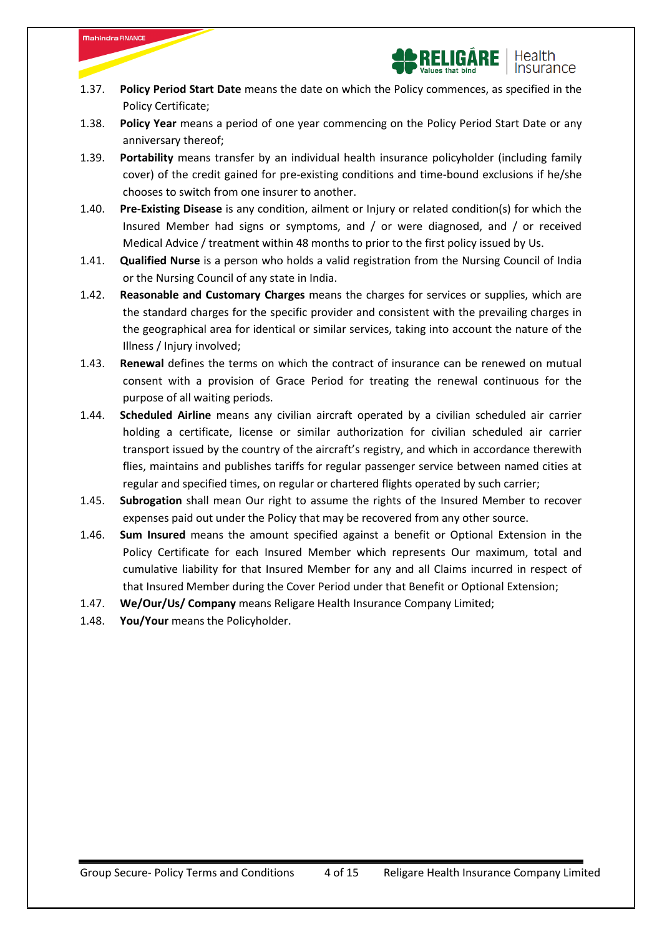

- 1.37. **Policy Period Start Date** means the date on which the Policy commences, as specified in the Policy Certificate;
- 1.38. **Policy Year** means a period of one year commencing on the Policy Period Start Date or any anniversary thereof;
- 1.39. **Portability** means transfer by an individual health insurance policyholder (including family cover) of the credit gained for pre-existing conditions and time-bound exclusions if he/she chooses to switch from one insurer to another.
- 1.40. **Pre-Existing Disease** is any condition, ailment or Injury or related condition(s) for which the Insured Member had signs or symptoms, and / or were diagnosed, and / or received Medical Advice / treatment within 48 months to prior to the first policy issued by Us.
- 1.41. **Qualified Nurse** is a person who holds a valid registration from the Nursing Council of India or the Nursing Council of any state in India.
- 1.42. **Reasonable and Customary Charges** means the charges for services or supplies, which are the standard charges for the specific provider and consistent with the prevailing charges in the geographical area for identical or similar services, taking into account the nature of the Illness / Injury involved;
- 1.43. **Renewal** defines the terms on which the contract of insurance can be renewed on mutual consent with a provision of Grace Period for treating the renewal continuous for the purpose of all waiting periods.
- 1.44. **Scheduled Airline** means any civilian aircraft operated by a civilian scheduled air carrier holding a certificate, license or similar authorization for civilian scheduled air carrier transport issued by the country of the aircraft's registry, and which in accordance therewith flies, maintains and publishes tariffs for regular passenger service between named cities at regular and specified times, on regular or chartered flights operated by such carrier;
- 1.45. **Subrogation** shall mean Our right to assume the rights of the Insured Member to recover expenses paid out under the Policy that may be recovered from any other source.
- 1.46. **Sum Insured** means the amount specified against a benefit or Optional Extension in the Policy Certificate for each Insured Member which represents Our maximum, total and cumulative liability for that Insured Member for any and all Claims incurred in respect of that Insured Member during the Cover Period under that Benefit or Optional Extension;
- 1.47. **We/Our/Us/ Company** means Religare Health Insurance Company Limited;
- 1.48. **You/Your** means the Policyholder.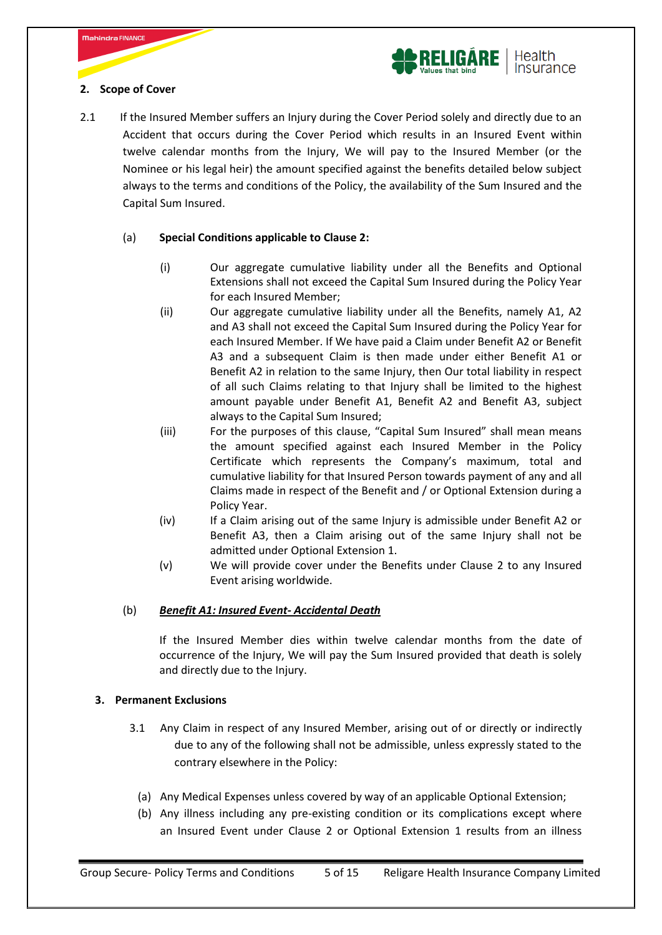



# 2.1 If the Insured Member suffers an Injury during the Cover Period solely and directly due to an Accident that occurs during the Cover Period which results in an Insured Event within twelve calendar months from the Injury, We will pay to the Insured Member (or the Nominee or his legal heir) the amount specified against the benefits detailed below subject always to the terms and conditions of the Policy, the availability of the Sum Insured and the Capital Sum Insured.

# (a) **Special Conditions applicable to Clause 2:**

- (i) Our aggregate cumulative liability under all the Benefits and Optional Extensions shall not exceed the Capital Sum Insured during the Policy Year for each Insured Member;
- (ii) Our aggregate cumulative liability under all the Benefits, namely A1, A2 and A3 shall not exceed the Capital Sum Insured during the Policy Year for each Insured Member. If We have paid a Claim under Benefit A2 or Benefit A3 and a subsequent Claim is then made under either Benefit A1 or Benefit A2 in relation to the same Injury, then Our total liability in respect of all such Claims relating to that Injury shall be limited to the highest amount payable under Benefit A1, Benefit A2 and Benefit A3, subject always to the Capital Sum Insured;
- (iii) For the purposes of this clause, "Capital Sum Insured" shall mean means the amount specified against each Insured Member in the Policy Certificate which represents the Company's maximum, total and cumulative liability for that Insured Person towards payment of any and all Claims made in respect of the Benefit and / or Optional Extension during a Policy Year.
- (iv) If a Claim arising out of the same Injury is admissible under Benefit A2 or Benefit A3, then a Claim arising out of the same Injury shall not be admitted under Optional Extension 1.
- (v) We will provide cover under the Benefits under Clause 2 to any Insured Event arising worldwide.

# (b) *Benefit A1: Insured Event- Accidental Death*

If the Insured Member dies within twelve calendar months from the date of occurrence of the Injury, We will pay the Sum Insured provided that death is solely and directly due to the Injury.

# **3. Permanent Exclusions**

- 3.1 Any Claim in respect of any Insured Member, arising out of or directly or indirectly due to any of the following shall not be admissible, unless expressly stated to the contrary elsewhere in the Policy:
	- (a) Any Medical Expenses unless covered by way of an applicable Optional Extension;
	- (b) Any illness including any pre-existing condition or its complications except where an Insured Event under Clause 2 or Optional Extension 1 results from an illness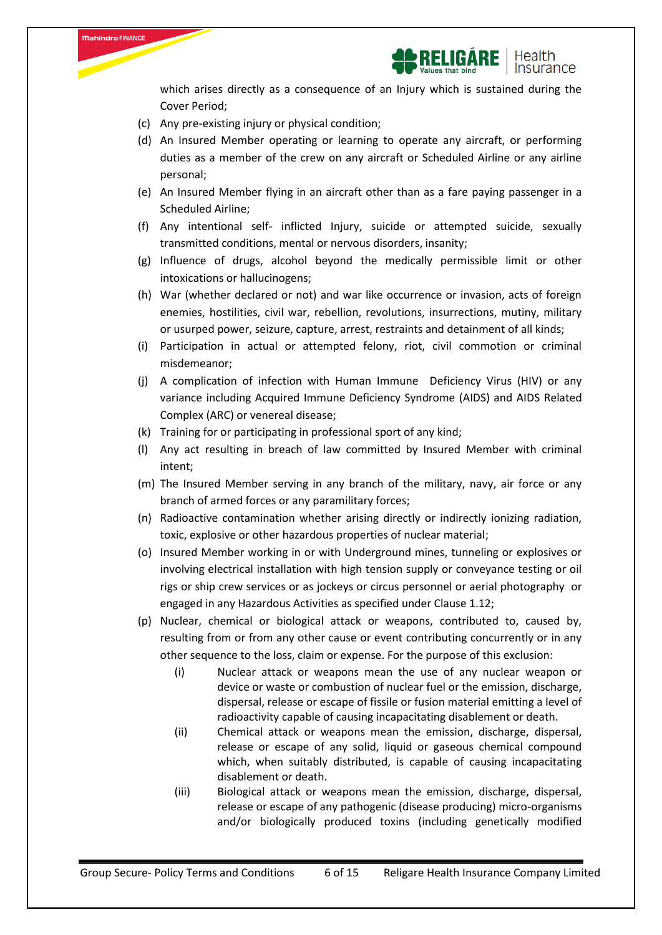

which arises directly as a consequence of an Injury which is sustained during the Cover Period;

(c) Any pre-existing injury or physical condition;

**Mahindra FINANCE** 

- (d) An Insured Member operating or learning to operate any aircraft, or performing duties as a member of the crew on any aircraft or Scheduled Airline or any airline personal;
- (e) An Insured Member flying in an aircraft other than as a fare paying passenger in a Scheduled Airline;
- (f) Any intentional self- inflicted Injury, suicide or attempted suicide, sexually transmitted conditions, mental or nervous disorders, insanity;
- (g) Influence of drugs, alcohol beyond the medically permissible limit or other intoxications or hallucinogens;
- (h) War (whether declared or not) and war like occurrence or invasion, acts of foreign enemies, hostilities, civil war, rebellion, revolutions, insurrections, mutiny, military or usurped power, seizure, capture, arrest, restraints and detainment of all kinds;
- (i) Participation in actual or attempted felony, riot, civil commotion or criminal misdemeanor;
- (j) A complication of infection with Human Immune Deficiency Virus (HIV) or any variance including Acquired Immune Deficiency Syndrome (AIDS) and AIDS Related Complex (ARC) or venereal disease;
- (k) Training for or participating in professional sport of any kind;
- (l) Any act resulting in breach of law committed by Insured Member with criminal intent;
- (m) The Insured Member serving in any branch of the military, navy, air force or any branch of armed forces or any paramilitary forces;
- (n) Radioactive contamination whether arising directly or indirectly ionizing radiation, toxic, explosive or other hazardous properties of nuclear material;
- (o) Insured Member working in or with Underground mines, tunneling or explosives or involving electrical installation with high tension supply or conveyance testing or oil rigs or ship crew services or as jockeys or circus personnel or aerial photography or engaged in any Hazardous Activities as specified under Clause 1.12;
- (p) Nuclear, chemical or biological attack or weapons, contributed to, caused by, resulting from or from any other cause or event contributing concurrently or in any other sequence to the loss, claim or expense. For the purpose of this exclusion:
	- (i) Nuclear attack or weapons mean the use of any nuclear weapon or device or waste or combustion of nuclear fuel or the emission, discharge, dispersal, release or escape of fissile or fusion material emitting a level of radioactivity capable of causing incapacitating disablement or death.
	- (ii) Chemical attack or weapons mean the emission, discharge, dispersal, release or escape of any solid, liquid or gaseous chemical compound which, when suitably distributed, is capable of causing incapacitating disablement or death.
	- (iii) Biological attack or weapons mean the emission, discharge, dispersal, release or escape of any pathogenic (disease producing) micro-organisms and/or biologically produced toxins (including genetically modified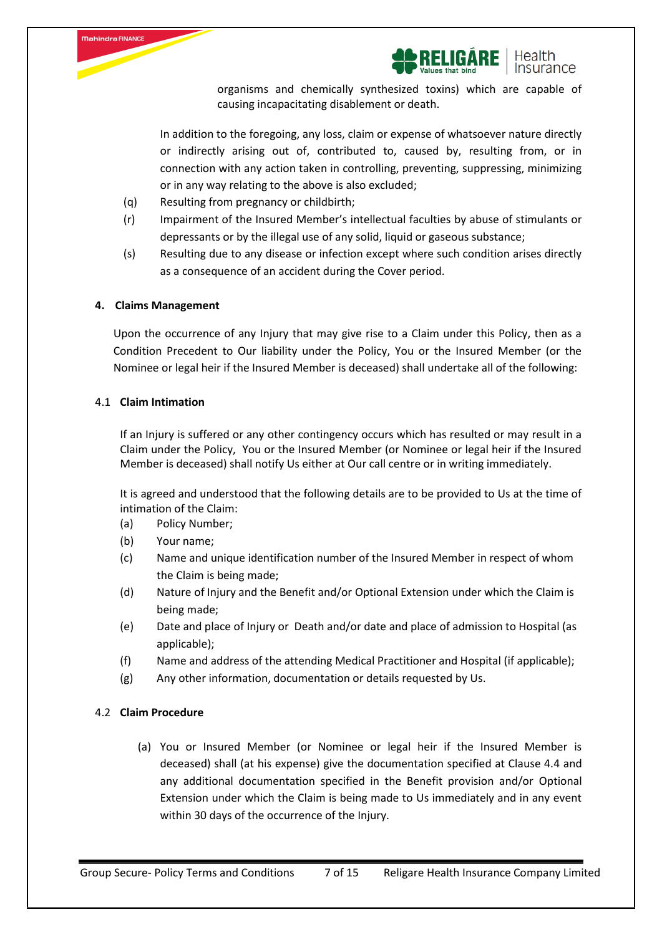



organisms and chemically synthesized toxins) which are capable of causing incapacitating disablement or death.

In addition to the foregoing, any loss, claim or expense of whatsoever nature directly or indirectly arising out of, contributed to, caused by, resulting from, or in connection with any action taken in controlling, preventing, suppressing, minimizing or in any way relating to the above is also excluded;

- (q) Resulting from pregnancy or childbirth;
- (r) Impairment of the Insured Member's intellectual faculties by abuse of stimulants or depressants or by the illegal use of any solid, liquid or gaseous substance;
- (s) Resulting due to any disease or infection except where such condition arises directly as a consequence of an accident during the Cover period.

#### **4. Claims Management**

Upon the occurrence of any Injury that may give rise to a Claim under this Policy, then as a Condition Precedent to Our liability under the Policy, You or the Insured Member (or the Nominee or legal heir if the Insured Member is deceased) shall undertake all of the following:

## 4.1 **Claim Intimation**

If an Injury is suffered or any other contingency occurs which has resulted or may result in a Claim under the Policy, You or the Insured Member (or Nominee or legal heir if the Insured Member is deceased) shall notify Us either at Our call centre or in writing immediately.

It is agreed and understood that the following details are to be provided to Us at the time of intimation of the Claim:

- (a) Policy Number;
- (b) Your name;
- (c) Name and unique identification number of the Insured Member in respect of whom the Claim is being made;
- (d) Nature of Injury and the Benefit and/or Optional Extension under which the Claim is being made;
- (e) Date and place of Injury or Death and/or date and place of admission to Hospital (as applicable);
- (f) Name and address of the attending Medical Practitioner and Hospital (if applicable);
- (g) Any other information, documentation or details requested by Us.

## 4.2 **Claim Procedure**

(a) You or Insured Member (or Nominee or legal heir if the Insured Member is deceased) shall (at his expense) give the documentation specified at Clause 4.4 and any additional documentation specified in the Benefit provision and/or Optional Extension under which the Claim is being made to Us immediately and in any event within 30 days of the occurrence of the Injury.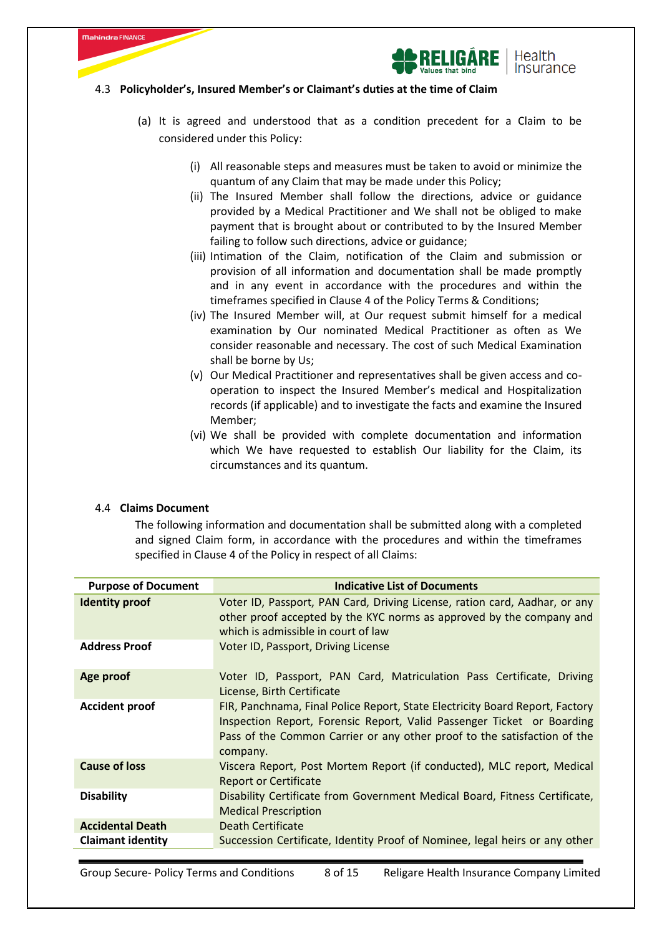



#### 4.3 **Policyholder's, Insured Member's or Claimant's duties at the time of Claim**

- (a) It is agreed and understood that as a condition precedent for a Claim to be considered under this Policy:
	- (i) All reasonable steps and measures must be taken to avoid or minimize the quantum of any Claim that may be made under this Policy;
	- (ii) The Insured Member shall follow the directions, advice or guidance provided by a Medical Practitioner and We shall not be obliged to make payment that is brought about or contributed to by the Insured Member failing to follow such directions, advice or guidance;
	- (iii) Intimation of the Claim, notification of the Claim and submission or provision of all information and documentation shall be made promptly and in any event in accordance with the procedures and within the timeframes specified in Clause 4 of the Policy Terms & Conditions;
	- (iv) The Insured Member will, at Our request submit himself for a medical examination by Our nominated Medical Practitioner as often as We consider reasonable and necessary. The cost of such Medical Examination shall be borne by Us;
	- (v) Our Medical Practitioner and representatives shall be given access and cooperation to inspect the Insured Member's medical and Hospitalization records (if applicable) and to investigate the facts and examine the Insured Member;
	- (vi) We shall be provided with complete documentation and information which We have requested to establish Our liability for the Claim, its circumstances and its quantum.

#### 4.4 **Claims Document**

The following information and documentation shall be submitted along with a completed and signed Claim form, in accordance with the procedures and within the timeframes specified in Clause 4 of the Policy in respect of all Claims:

| <b>Purpose of Document</b> | <b>Indicative List of Documents</b>                                                                                                                                                                                                            |
|----------------------------|------------------------------------------------------------------------------------------------------------------------------------------------------------------------------------------------------------------------------------------------|
| <b>Identity proof</b>      | Voter ID, Passport, PAN Card, Driving License, ration card, Aadhar, or any<br>other proof accepted by the KYC norms as approved by the company and<br>which is admissible in court of law                                                      |
| <b>Address Proof</b>       | Voter ID, Passport, Driving License                                                                                                                                                                                                            |
| Age proof                  | Voter ID, Passport, PAN Card, Matriculation Pass Certificate, Driving<br>License, Birth Certificate                                                                                                                                            |
| <b>Accident proof</b>      | FIR, Panchnama, Final Police Report, State Electricity Board Report, Factory<br>Inspection Report, Forensic Report, Valid Passenger Ticket or Boarding<br>Pass of the Common Carrier or any other proof to the satisfaction of the<br>company. |
| <b>Cause of loss</b>       | Viscera Report, Post Mortem Report (if conducted), MLC report, Medical<br>Report or Certificate                                                                                                                                                |
| <b>Disability</b>          | Disability Certificate from Government Medical Board, Fitness Certificate,<br><b>Medical Prescription</b>                                                                                                                                      |
| <b>Accidental Death</b>    | Death Certificate                                                                                                                                                                                                                              |
| <b>Claimant identity</b>   | Succession Certificate, Identity Proof of Nominee, legal heirs or any other                                                                                                                                                                    |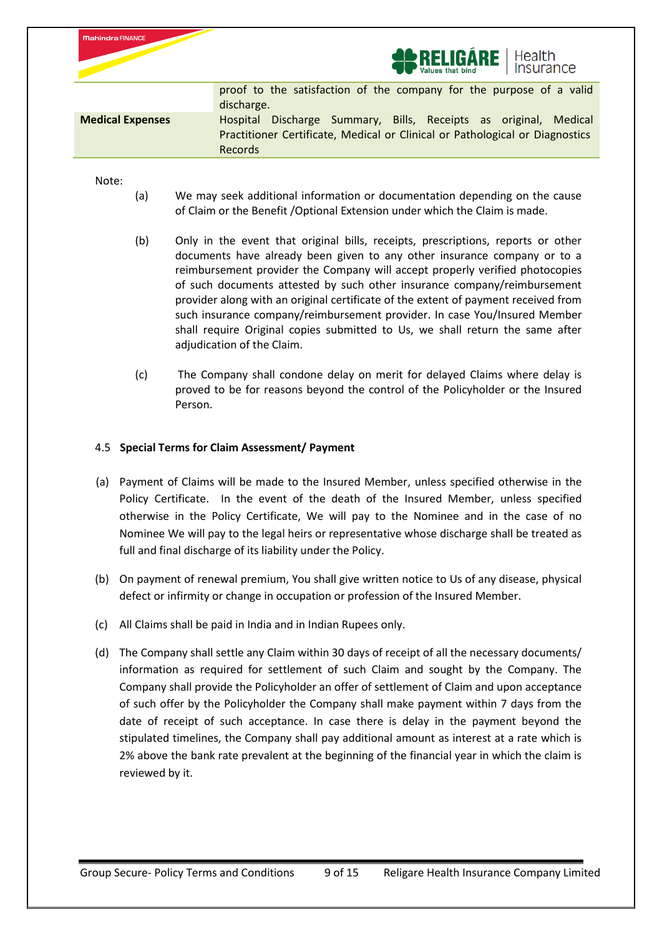|                         | <b>AD RELIGARE</b>   Health                                                                                                                                                  |
|-------------------------|------------------------------------------------------------------------------------------------------------------------------------------------------------------------------|
|                         | proof to the satisfaction of the company for the purpose of a valid<br>discharge.                                                                                            |
| <b>Medical Expenses</b> | Discharge Summary, Bills, Receipts as original, Medical<br><b>Hospital</b><br>Practitioner Certificate, Medical or Clinical or Pathological or Diagnostics<br><b>Records</b> |
|                         |                                                                                                                                                                              |

Note:

Mahindra FINANCE

- (a) We may seek additional information or documentation depending on the cause of Claim or the Benefit /Optional Extension under which the Claim is made.
- (b) Only in the event that original bills, receipts, prescriptions, reports or other documents have already been given to any other insurance company or to a reimbursement provider the Company will accept properly verified photocopies of such documents attested by such other insurance company/reimbursement provider along with an original certificate of the extent of payment received from such insurance company/reimbursement provider. In case You/Insured Member shall require Original copies submitted to Us, we shall return the same after adjudication of the Claim.
- (c) The Company shall condone delay on merit for delayed Claims where delay is proved to be for reasons beyond the control of the Policyholder or the Insured Person.

# 4.5 **Special Terms for Claim Assessment/ Payment**

- (a) Payment of Claims will be made to the Insured Member, unless specified otherwise in the Policy Certificate. In the event of the death of the Insured Member, unless specified otherwise in the Policy Certificate, We will pay to the Nominee and in the case of no Nominee We will pay to the legal heirs or representative whose discharge shall be treated as full and final discharge of its liability under the Policy.
- (b) On payment of renewal premium, You shall give written notice to Us of any disease, physical defect or infirmity or change in occupation or profession of the Insured Member.
- (c) All Claims shall be paid in India and in Indian Rupees only.
- (d) The Company shall settle any Claim within 30 days of receipt of all the necessary documents/ information as required for settlement of such Claim and sought by the Company. The Company shall provide the Policyholder an offer of settlement of Claim and upon acceptance of such offer by the Policyholder the Company shall make payment within 7 days from the date of receipt of such acceptance. In case there is delay in the payment beyond the stipulated timelines, the Company shall pay additional amount as interest at a rate which is 2% above the bank rate prevalent at the beginning of the financial year in which the claim is reviewed by it.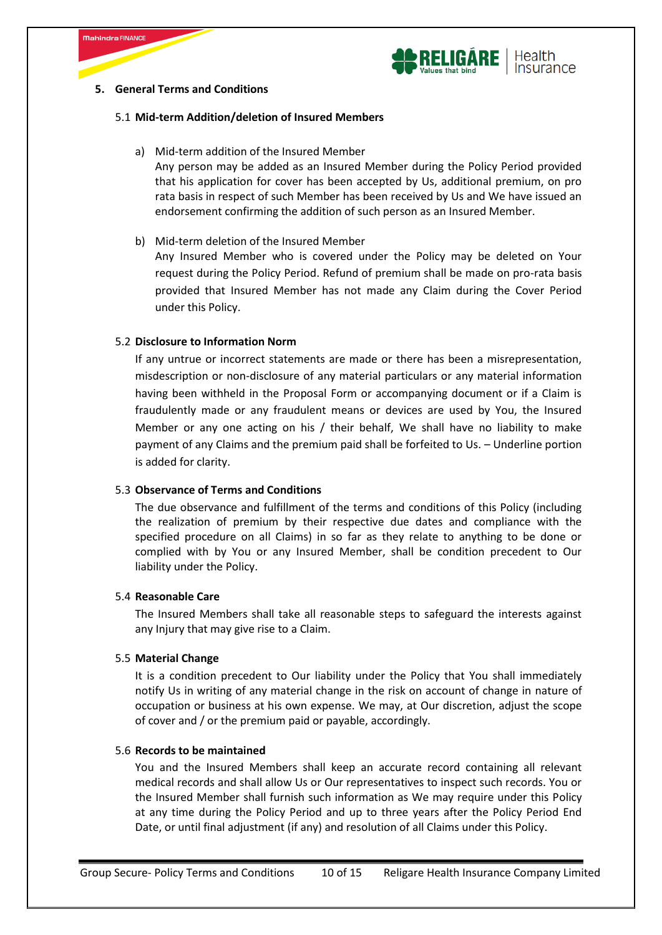



## **5. General Terms and Conditions**

#### 5.1 **Mid-term Addition/deletion of Insured Members**

a) Mid-term addition of the Insured Member

Any person may be added as an Insured Member during the Policy Period provided that his application for cover has been accepted by Us, additional premium, on pro rata basis in respect of such Member has been received by Us and We have issued an endorsement confirming the addition of such person as an Insured Member.

b) Mid-term deletion of the Insured Member

Any Insured Member who is covered under the Policy may be deleted on Your request during the Policy Period. Refund of premium shall be made on pro-rata basis provided that Insured Member has not made any Claim during the Cover Period under this Policy.

## 5.2 **Disclosure to Information Norm**

If any untrue or incorrect statements are made or there has been a misrepresentation, misdescription or non-disclosure of any material particulars or any material information having been withheld in the Proposal Form or accompanying document or if a Claim is fraudulently made or any fraudulent means or devices are used by You, the Insured Member or any one acting on his / their behalf, We shall have no liability to make payment of any Claims and the premium paid shall be forfeited to Us. – Underline portion is added for clarity.

#### 5.3 **Observance of Terms and Conditions**

The due observance and fulfillment of the terms and conditions of this Policy (including the realization of premium by their respective due dates and compliance with the specified procedure on all Claims) in so far as they relate to anything to be done or complied with by You or any Insured Member, shall be condition precedent to Our liability under the Policy.

#### 5.4 **Reasonable Care**

The Insured Members shall take all reasonable steps to safeguard the interests against any Injury that may give rise to a Claim.

#### 5.5 **Material Change**

It is a condition precedent to Our liability under the Policy that You shall immediately notify Us in writing of any material change in the risk on account of change in nature of occupation or business at his own expense. We may, at Our discretion, adjust the scope of cover and / or the premium paid or payable, accordingly.

#### 5.6 **Records to be maintained**

You and the Insured Members shall keep an accurate record containing all relevant medical records and shall allow Us or Our representatives to inspect such records. You or the Insured Member shall furnish such information as We may require under this Policy at any time during the Policy Period and up to three years after the Policy Period End Date, or until final adjustment (if any) and resolution of all Claims under this Policy.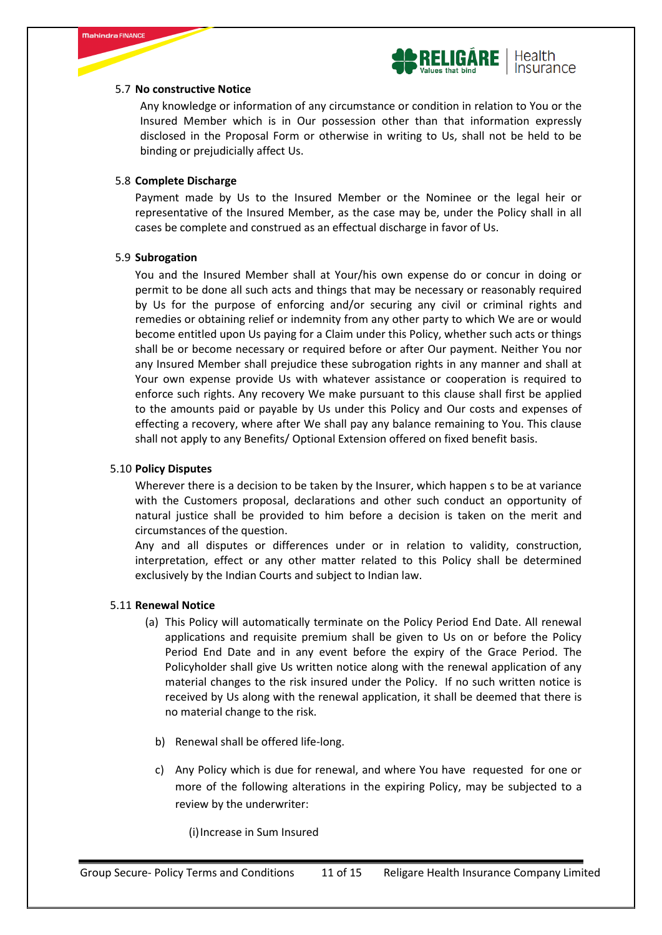



## 5.7 **No constructive Notice**

Any knowledge or information of any circumstance or condition in relation to You or the Insured Member which is in Our possession other than that information expressly disclosed in the Proposal Form or otherwise in writing to Us, shall not be held to be binding or prejudicially affect Us.

## 5.8 **Complete Discharge**

Payment made by Us to the Insured Member or the Nominee or the legal heir or representative of the Insured Member, as the case may be, under the Policy shall in all cases be complete and construed as an effectual discharge in favor of Us.

#### 5.9 **Subrogation**

You and the Insured Member shall at Your/his own expense do or concur in doing or permit to be done all such acts and things that may be necessary or reasonably required by Us for the purpose of enforcing and/or securing any civil or criminal rights and remedies or obtaining relief or indemnity from any other party to which We are or would become entitled upon Us paying for a Claim under this Policy, whether such acts or things shall be or become necessary or required before or after Our payment. Neither You nor any Insured Member shall prejudice these subrogation rights in any manner and shall at Your own expense provide Us with whatever assistance or cooperation is required to enforce such rights. Any recovery We make pursuant to this clause shall first be applied to the amounts paid or payable by Us under this Policy and Our costs and expenses of effecting a recovery, where after We shall pay any balance remaining to You. This clause shall not apply to any Benefits/ Optional Extension offered on fixed benefit basis.

## 5.10 **Policy Disputes**

Wherever there is a decision to be taken by the Insurer, which happen s to be at variance with the Customers proposal, declarations and other such conduct an opportunity of natural justice shall be provided to him before a decision is taken on the merit and circumstances of the question.

Any and all disputes or differences under or in relation to validity, construction, interpretation, effect or any other matter related to this Policy shall be determined exclusively by the Indian Courts and subject to Indian law.

#### 5.11 **Renewal Notice**

- (a) This Policy will automatically terminate on the Policy Period End Date. All renewal applications and requisite premium shall be given to Us on or before the Policy Period End Date and in any event before the expiry of the Grace Period. The Policyholder shall give Us written notice along with the renewal application of any material changes to the risk insured under the Policy. If no such written notice is received by Us along with the renewal application, it shall be deemed that there is no material change to the risk.
	- b) Renewal shall be offered life-long.
	- c) Any Policy which is due for renewal, and where You have requested for one or more of the following alterations in the expiring Policy, may be subjected to a review by the underwriter:

(i)Increase in Sum Insured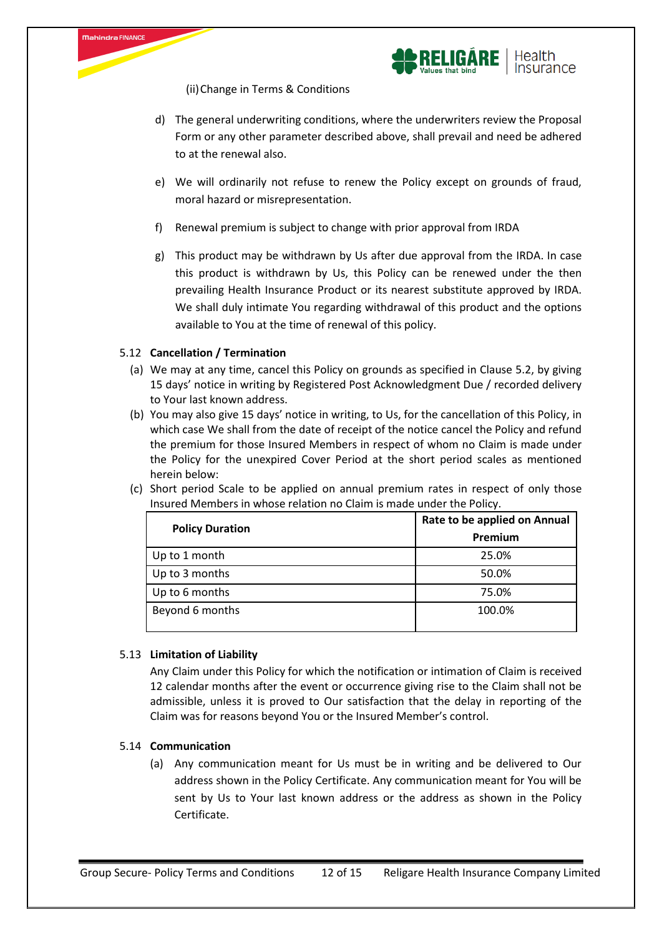



(ii)Change in Terms & Conditions

- d) The general underwriting conditions, where the underwriters review the Proposal Form or any other parameter described above, shall prevail and need be adhered to at the renewal also.
- e) We will ordinarily not refuse to renew the Policy except on grounds of fraud, moral hazard or misrepresentation.
- f) Renewal premium is subject to change with prior approval from IRDA
- g) This product may be withdrawn by Us after due approval from the IRDA. In case this product is withdrawn by Us, this Policy can be renewed under the then prevailing Health Insurance Product or its nearest substitute approved by IRDA. We shall duly intimate You regarding withdrawal of this product and the options available to You at the time of renewal of this policy.

# 5.12 **Cancellation / Termination**

- (a) We may at any time, cancel this Policy on grounds as specified in Clause 5.2, by giving 15 days' notice in writing by Registered Post Acknowledgment Due / recorded delivery to Your last known address.
- (b) You may also give 15 days' notice in writing, to Us, for the cancellation of this Policy, in which case We shall from the date of receipt of the notice cancel the Policy and refund the premium for those Insured Members in respect of whom no Claim is made under the Policy for the unexpired Cover Period at the short period scales as mentioned herein below:
- (c) Short period Scale to be applied on annual premium rates in respect of only those Insured Members in whose relation no Claim is made under the Policy.

| <b>Policy Duration</b> | Rate to be applied on Annual |  |
|------------------------|------------------------------|--|
|                        | Premium                      |  |
| Up to 1 month          | 25.0%                        |  |
| Up to 3 months         | 50.0%                        |  |
| Up to 6 months         | 75.0%                        |  |
| Beyond 6 months        | 100.0%                       |  |

#### 5.13 **Limitation of Liability**

Any Claim under this Policy for which the notification or intimation of Claim is received 12 calendar months after the event or occurrence giving rise to the Claim shall not be admissible, unless it is proved to Our satisfaction that the delay in reporting of the Claim was for reasons beyond You or the Insured Member's control.

#### 5.14 **Communication**

(a) Any communication meant for Us must be in writing and be delivered to Our address shown in the Policy Certificate. Any communication meant for You will be sent by Us to Your last known address or the address as shown in the Policy Certificate.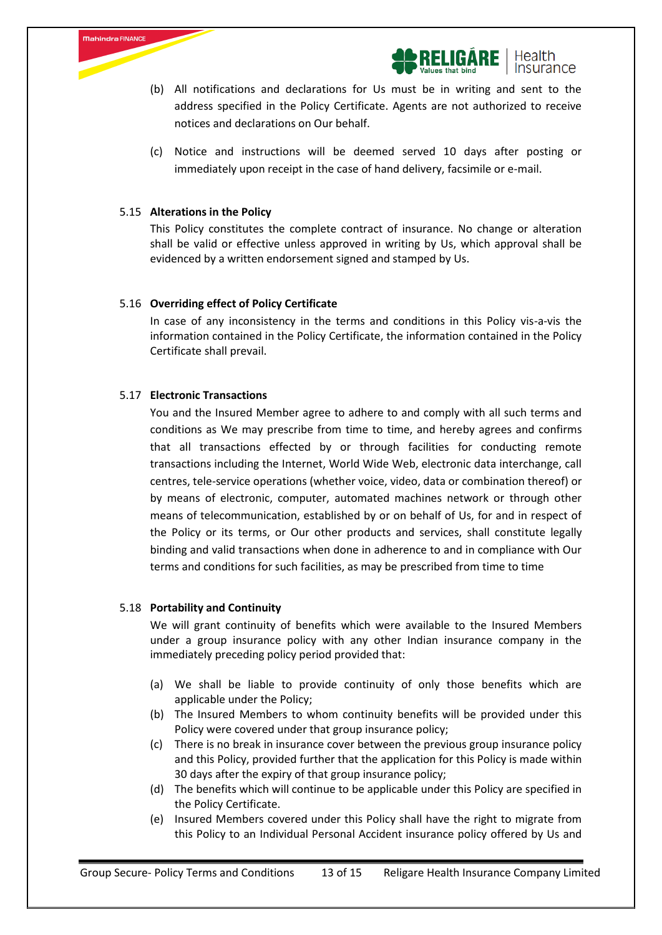



- (b) All notifications and declarations for Us must be in writing and sent to the address specified in the Policy Certificate. Agents are not authorized to receive notices and declarations on Our behalf.
- (c) Notice and instructions will be deemed served 10 days after posting or immediately upon receipt in the case of hand delivery, facsimile or e-mail.

#### 5.15 **Alterations in the Policy**

This Policy constitutes the complete contract of insurance. No change or alteration shall be valid or effective unless approved in writing by Us, which approval shall be evidenced by a written endorsement signed and stamped by Us.

#### 5.16 **Overriding effect of Policy Certificate**

In case of any inconsistency in the terms and conditions in this Policy vis-a-vis the information contained in the Policy Certificate, the information contained in the Policy Certificate shall prevail.

## 5.17 **Electronic Transactions**

You and the Insured Member agree to adhere to and comply with all such terms and conditions as We may prescribe from time to time, and hereby agrees and confirms that all transactions effected by or through facilities for conducting remote transactions including the Internet, World Wide Web, electronic data interchange, call centres, tele-service operations (whether voice, video, data or combination thereof) or by means of electronic, computer, automated machines network or through other means of telecommunication, established by or on behalf of Us, for and in respect of the Policy or its terms, or Our other products and services, shall constitute legally binding and valid transactions when done in adherence to and in compliance with Our terms and conditions for such facilities, as may be prescribed from time to time

#### 5.18 **Portability and Continuity**

We will grant continuity of benefits which were available to the Insured Members under a group insurance policy with any other Indian insurance company in the immediately preceding policy period provided that:

- (a) We shall be liable to provide continuity of only those benefits which are applicable under the Policy;
- (b) The Insured Members to whom continuity benefits will be provided under this Policy were covered under that group insurance policy;
- (c) There is no break in insurance cover between the previous group insurance policy and this Policy, provided further that the application for this Policy is made within 30 days after the expiry of that group insurance policy;
- (d) The benefits which will continue to be applicable under this Policy are specified in the Policy Certificate.
- (e) Insured Members covered under this Policy shall have the right to migrate from this Policy to an Individual Personal Accident insurance policy offered by Us and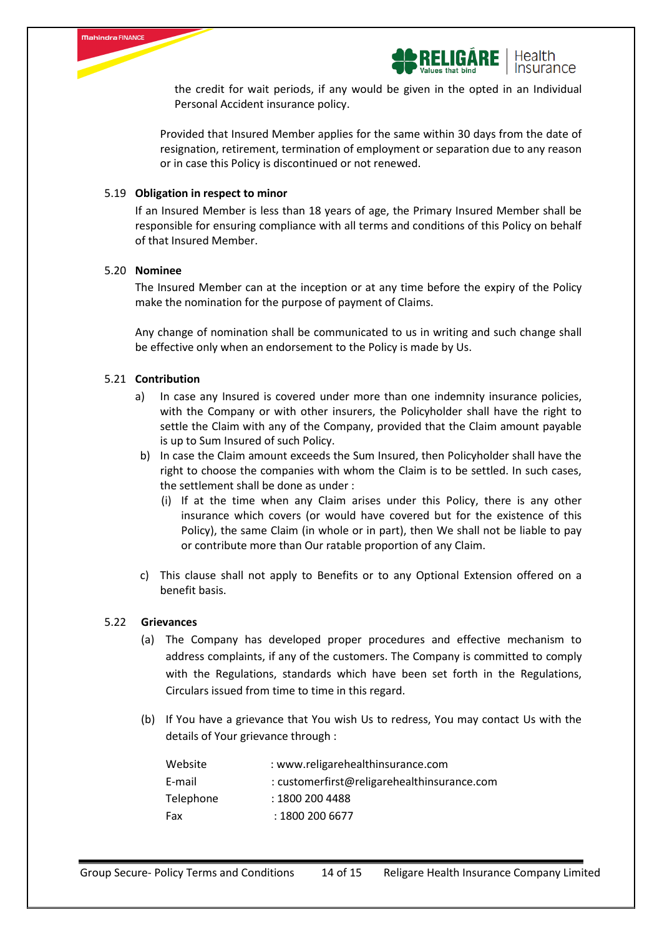



the credit for wait periods, if any would be given in the opted in an Individual Personal Accident insurance policy.

Provided that Insured Member applies for the same within 30 days from the date of resignation, retirement, termination of employment or separation due to any reason or in case this Policy is discontinued or not renewed.

## 5.19 **Obligation in respect to minor**

If an Insured Member is less than 18 years of age, the Primary Insured Member shall be responsible for ensuring compliance with all terms and conditions of this Policy on behalf of that Insured Member.

#### 5.20 **Nominee**

The Insured Member can at the inception or at any time before the expiry of the Policy make the nomination for the purpose of payment of Claims.

Any change of nomination shall be communicated to us in writing and such change shall be effective only when an endorsement to the Policy is made by Us.

#### 5.21 **Contribution**

- a) In case any Insured is covered under more than one indemnity insurance policies, with the Company or with other insurers, the Policyholder shall have the right to settle the Claim with any of the Company, provided that the Claim amount payable is up to Sum Insured of such Policy.
- b) In case the Claim amount exceeds the Sum Insured, then Policyholder shall have the right to choose the companies with whom the Claim is to be settled. In such cases, the settlement shall be done as under :
	- (i) If at the time when any Claim arises under this Policy, there is any other insurance which covers (or would have covered but for the existence of this Policy), the same Claim (in whole or in part), then We shall not be liable to pay or contribute more than Our ratable proportion of any Claim.
- c) This clause shall not apply to Benefits or to any Optional Extension offered on a benefit basis.

#### 5.22 **Grievances**

- (a) The Company has developed proper procedures and effective mechanism to address complaints, if any of the customers. The Company is committed to comply with the Regulations, standards which have been set forth in the Regulations, Circulars issued from time to time in this regard.
- (b) If You have a grievance that You wish Us to redress, You may contact Us with the details of Your grievance through :

| : www.religarehealthinsurance.com           |
|---------------------------------------------|
| : customerfirst@religarehealthinsurance.com |
| : 1800 200 4488                             |
| : 1800 200 6677                             |
|                                             |